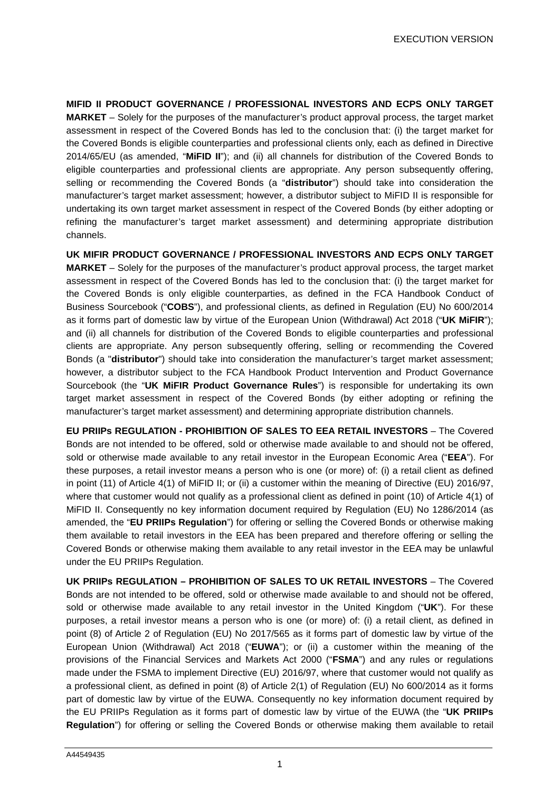**MIFID II PRODUCT GOVERNANCE / PROFESSIONAL INVESTORS AND ECPS ONLY TARGET MARKET** – Solely for the purposes of the manufacturer's product approval process, the target market assessment in respect of the Covered Bonds has led to the conclusion that: (i) the target market for the Covered Bonds is eligible counterparties and professional clients only, each as defined in Directive 2014/65/EU (as amended, "**MiFID II**"); and (ii) all channels for distribution of the Covered Bonds to eligible counterparties and professional clients are appropriate. Any person subsequently offering, selling or recommending the Covered Bonds (a "**distributor**") should take into consideration the manufacturer's target market assessment; however, a distributor subject to MiFID II is responsible for undertaking its own target market assessment in respect of the Covered Bonds (by either adopting or refining the manufacturer's target market assessment) and determining appropriate distribution channels.

**UK MIFIR PRODUCT GOVERNANCE / PROFESSIONAL INVESTORS AND ECPS ONLY TARGET MARKET** – Solely for the purposes of the manufacturer's product approval process, the target market assessment in respect of the Covered Bonds has led to the conclusion that: (i) the target market for the Covered Bonds is only eligible counterparties, as defined in the FCA Handbook Conduct of Business Sourcebook ("**COBS**"), and professional clients, as defined in Regulation (EU) No 600/2014 as it forms part of domestic law by virtue of the European Union (Withdrawal) Act 2018 ("**UK MiFIR**"); and (ii) all channels for distribution of the Covered Bonds to eligible counterparties and professional clients are appropriate. Any person subsequently offering, selling or recommending the Covered Bonds (a "**distributor**") should take into consideration the manufacturer's target market assessment; however, a distributor subject to the FCA Handbook Product Intervention and Product Governance Sourcebook (the "**UK MiFIR Product Governance Rules**") is responsible for undertaking its own target market assessment in respect of the Covered Bonds (by either adopting or refining the manufacturer's target market assessment) and determining appropriate distribution channels.

**EU PRIIPs REGULATION - PROHIBITION OF SALES TO EEA RETAIL INVESTORS** – The Covered Bonds are not intended to be offered, sold or otherwise made available to and should not be offered, sold or otherwise made available to any retail investor in the European Economic Area ("**EEA**"). For these purposes, a retail investor means a person who is one (or more) of: (i) a retail client as defined in point (11) of Article 4(1) of MiFID II; or (ii) a customer within the meaning of Directive (EU) 2016/97, where that customer would not qualify as a professional client as defined in point (10) of Article 4(1) of MiFID II. Consequently no key information document required by Regulation (EU) No 1286/2014 (as amended, the "**EU PRIIPs Regulation**") for offering or selling the Covered Bonds or otherwise making them available to retail investors in the EEA has been prepared and therefore offering or selling the Covered Bonds or otherwise making them available to any retail investor in the EEA may be unlawful under the EU PRIIPs Regulation.

**UK PRIIPs REGULATION – PROHIBITION OF SALES TO UK RETAIL INVESTORS** – The Covered Bonds are not intended to be offered, sold or otherwise made available to and should not be offered, sold or otherwise made available to any retail investor in the United Kingdom ("**UK**"). For these purposes, a retail investor means a person who is one (or more) of: (i) a retail client, as defined in point (8) of Article 2 of Regulation (EU) No 2017/565 as it forms part of domestic law by virtue of the European Union (Withdrawal) Act 2018 ("**EUWA**"); or (ii) a customer within the meaning of the provisions of the Financial Services and Markets Act 2000 ("**FSMA**") and any rules or regulations made under the FSMA to implement Directive (EU) 2016/97, where that customer would not qualify as a professional client, as defined in point (8) of Article 2(1) of Regulation (EU) No 600/2014 as it forms part of domestic law by virtue of the EUWA. Consequently no key information document required by the EU PRIIPs Regulation as it forms part of domestic law by virtue of the EUWA (the "**UK PRIIPs Regulation**") for offering or selling the Covered Bonds or otherwise making them available to retail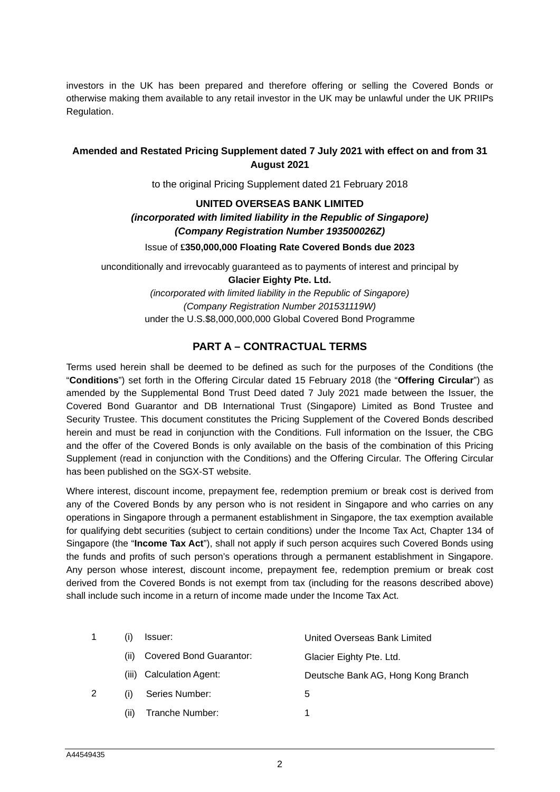investors in the UK has been prepared and therefore offering or selling the Covered Bonds or otherwise making them available to any retail investor in the UK may be unlawful under the UK PRIIPs Regulation.

### **Amended and Restated Pricing Supplement dated 7 July 2021 with effect on and from 31 August 2021**

to the original Pricing Supplement dated 21 February 2018

## **UNITED OVERSEAS BANK LIMITED** *(incorporated with limited liability in the Republic of Singapore) (Company Registration Number 193500026Z)* Issue of **£350,000,000 Floating Rate Covered Bonds due 2023**

unconditionally and irrevocably guaranteed as to payments of interest and principal by

**Glacier Eighty Pte. Ltd.** *(incorporated with limited liability in the Republic of Singapore) (Company Registration Number 201531119W)* under the U.S.\$8,000,000,000 Global Covered Bond Programme

# **PART A – CONTRACTUAL TERMS**

Terms used herein shall be deemed to be defined as such for the purposes of the Conditions (the "**Conditions**") set forth in the Offering Circular dated 15 February 2018 (the "**Offering Circular**") as amended by the Supplemental Bond Trust Deed dated 7 July 2021 made between the Issuer, the Covered Bond Guarantor and DB International Trust (Singapore) Limited as Bond Trustee and Security Trustee. This document constitutes the Pricing Supplement of the Covered Bonds described herein and must be read in conjunction with the Conditions. Full information on the Issuer, the CBG and the offer of the Covered Bonds is only available on the basis of the combination of this Pricing Supplement (read in conjunction with the Conditions) and the Offering Circular. The Offering Circular has been published on the SGX-ST website.

Where interest, discount income, prepayment fee, redemption premium or break cost is derived from any of the Covered Bonds by any person who is not resident in Singapore and who carries on any operations in Singapore through a permanent establishment in Singapore, the tax exemption available for qualifying debt securities (subject to certain conditions) under the Income Tax Act, Chapter 134 of Singapore (the "**Income Tax Act**"), shall not apply if such person acquires such Covered Bonds using the funds and profits of such person's operations through a permanent establishment in Singapore. Any person whose interest, discount income, prepayment fee, redemption premium or break cost derived from the Covered Bonds is not exempt from tax (including for the reasons described above) shall include such income in a return of income made under the Income Tax Act.

|   | $\left( \left  \right  \right)$ | Issuer:                        | United Overseas Bank Limited       |
|---|---------------------------------|--------------------------------|------------------------------------|
|   | (ii)                            | <b>Covered Bond Guarantor:</b> | Glacier Eighty Pte. Ltd.           |
|   |                                 | (iii) Calculation Agent:       | Deutsche Bank AG, Hong Kong Branch |
| 2 | (i)                             | Series Number:                 | 5                                  |
|   | (ii)                            | Tranche Number:                |                                    |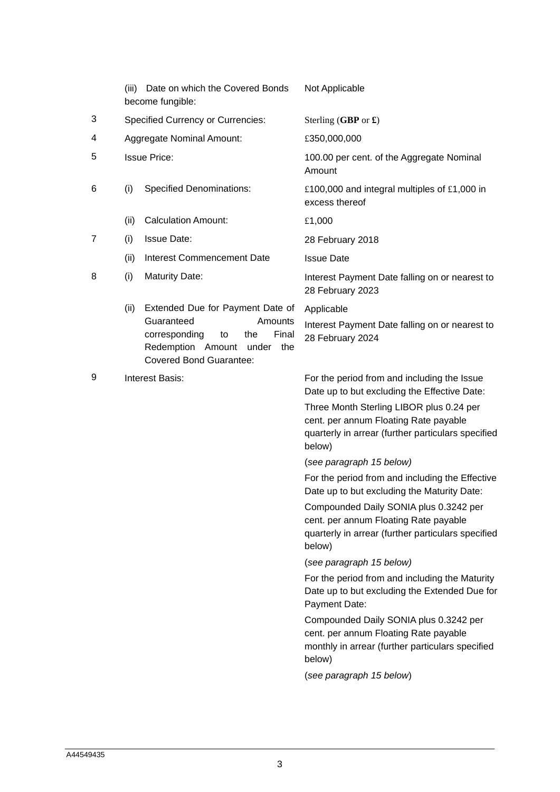|   | Date on which the Covered Bonds<br>(iii)<br>become fungible:                                                                                                                    | Not Applicable                                                                                                                                                                                                                                                                                                                                                                                                                                                                                                                                                                                                                                                                                                                                                                                                                                                 |
|---|---------------------------------------------------------------------------------------------------------------------------------------------------------------------------------|----------------------------------------------------------------------------------------------------------------------------------------------------------------------------------------------------------------------------------------------------------------------------------------------------------------------------------------------------------------------------------------------------------------------------------------------------------------------------------------------------------------------------------------------------------------------------------------------------------------------------------------------------------------------------------------------------------------------------------------------------------------------------------------------------------------------------------------------------------------|
| 3 | <b>Specified Currency or Currencies:</b>                                                                                                                                        | Sterling (GBP or $\pounds$ )                                                                                                                                                                                                                                                                                                                                                                                                                                                                                                                                                                                                                                                                                                                                                                                                                                   |
| 4 | <b>Aggregate Nominal Amount:</b>                                                                                                                                                | £350,000,000                                                                                                                                                                                                                                                                                                                                                                                                                                                                                                                                                                                                                                                                                                                                                                                                                                                   |
| 5 | <b>Issue Price:</b>                                                                                                                                                             | 100.00 per cent. of the Aggregate Nominal<br>Amount                                                                                                                                                                                                                                                                                                                                                                                                                                                                                                                                                                                                                                                                                                                                                                                                            |
| 6 | (i)<br><b>Specified Denominations:</b>                                                                                                                                          | £100,000 and integral multiples of £1,000 in<br>excess thereof                                                                                                                                                                                                                                                                                                                                                                                                                                                                                                                                                                                                                                                                                                                                                                                                 |
|   | <b>Calculation Amount:</b><br>(ii)                                                                                                                                              | £1,000                                                                                                                                                                                                                                                                                                                                                                                                                                                                                                                                                                                                                                                                                                                                                                                                                                                         |
| 7 | (i)<br><b>Issue Date:</b>                                                                                                                                                       | 28 February 2018                                                                                                                                                                                                                                                                                                                                                                                                                                                                                                                                                                                                                                                                                                                                                                                                                                               |
|   | (ii)<br>Interest Commencement Date                                                                                                                                              | <b>Issue Date</b>                                                                                                                                                                                                                                                                                                                                                                                                                                                                                                                                                                                                                                                                                                                                                                                                                                              |
| 8 | (i)<br><b>Maturity Date:</b>                                                                                                                                                    | Interest Payment Date falling on or nearest to<br>28 February 2023                                                                                                                                                                                                                                                                                                                                                                                                                                                                                                                                                                                                                                                                                                                                                                                             |
|   | (ii)<br>Extended Due for Payment Date of<br>Guaranteed<br>Amounts<br>Final<br>corresponding<br>the<br>to<br>Redemption Amount<br>under<br>the<br><b>Covered Bond Guarantee:</b> | Applicable<br>Interest Payment Date falling on or nearest to<br>28 February 2024                                                                                                                                                                                                                                                                                                                                                                                                                                                                                                                                                                                                                                                                                                                                                                               |
| 9 | <b>Interest Basis:</b>                                                                                                                                                          | For the period from and including the Issue<br>Date up to but excluding the Effective Date:<br>Three Month Sterling LIBOR plus 0.24 per<br>cent. per annum Floating Rate payable<br>quarterly in arrear (further particulars specified<br>below)<br>(see paragraph 15 below)<br>For the period from and including the Effective<br>Date up to but excluding the Maturity Date:<br>Compounded Daily SONIA plus 0.3242 per<br>cent. per annum Floating Rate payable<br>quarterly in arrear (further particulars specified<br>below)<br>(see paragraph 15 below)<br>For the period from and including the Maturity<br>Date up to but excluding the Extended Due for<br>Payment Date:<br>Compounded Daily SONIA plus 0.3242 per<br>cent. per annum Floating Rate payable<br>monthly in arrear (further particulars specified<br>below)<br>(see paragraph 15 below) |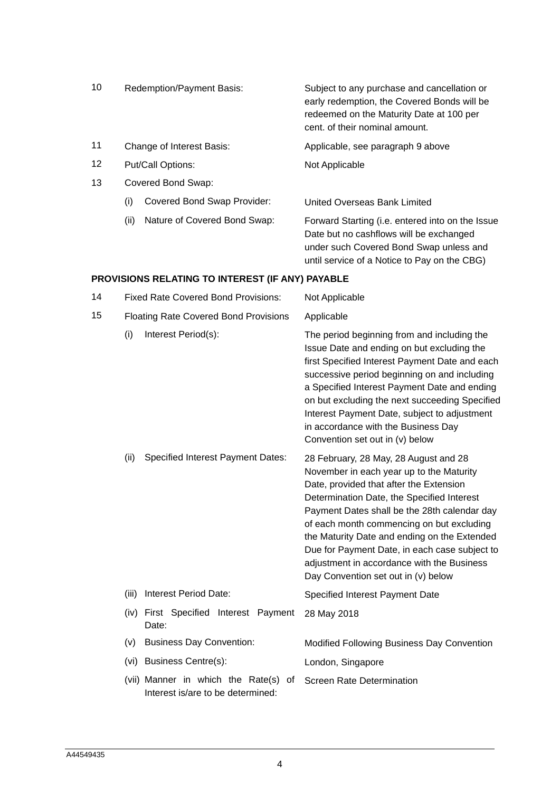| 10 |                           | Redemption/Payment Basis:    | Subject to any purchase and cancellation or<br>early redemption, the Covered Bonds will be<br>redeemed on the Maturity Date at 100 per<br>cent. of their nominal amount.               |
|----|---------------------------|------------------------------|----------------------------------------------------------------------------------------------------------------------------------------------------------------------------------------|
| 11 | Change of Interest Basis: |                              | Applicable, see paragraph 9 above                                                                                                                                                      |
| 12 | Put/Call Options:         |                              | Not Applicable                                                                                                                                                                         |
| 13 | Covered Bond Swap:        |                              |                                                                                                                                                                                        |
|    | (i)                       | Covered Bond Swap Provider:  | United Overseas Bank Limited                                                                                                                                                           |
|    | (ii)                      | Nature of Covered Bond Swap: | Forward Starting (i.e. entered into on the Issue<br>Date but no cashflows will be exchanged<br>under such Covered Bond Swap unless and<br>until service of a Notice to Pay on the CBG) |

## **PROVISIONS RELATING TO INTEREST (IF ANY) PAYABLE**

| 14 |       | <b>Fixed Rate Covered Bond Provisions:</b>                                   | Not Applicable                                                                                                                                                                                                                                                                                                                                                                                                                                                |
|----|-------|------------------------------------------------------------------------------|---------------------------------------------------------------------------------------------------------------------------------------------------------------------------------------------------------------------------------------------------------------------------------------------------------------------------------------------------------------------------------------------------------------------------------------------------------------|
| 15 |       | <b>Floating Rate Covered Bond Provisions</b>                                 | Applicable                                                                                                                                                                                                                                                                                                                                                                                                                                                    |
|    | (i)   | Interest Period(s):                                                          | The period beginning from and including the<br>Issue Date and ending on but excluding the<br>first Specified Interest Payment Date and each<br>successive period beginning on and including<br>a Specified Interest Payment Date and ending<br>on but excluding the next succeeding Specified<br>Interest Payment Date, subject to adjustment<br>in accordance with the Business Day<br>Convention set out in (v) below                                       |
|    | (ii)  | <b>Specified Interest Payment Dates:</b>                                     | 28 February, 28 May, 28 August and 28<br>November in each year up to the Maturity<br>Date, provided that after the Extension<br>Determination Date, the Specified Interest<br>Payment Dates shall be the 28th calendar day<br>of each month commencing on but excluding<br>the Maturity Date and ending on the Extended<br>Due for Payment Date, in each case subject to<br>adjustment in accordance with the Business<br>Day Convention set out in (v) below |
|    | (iii) | Interest Period Date:                                                        | Specified Interest Payment Date                                                                                                                                                                                                                                                                                                                                                                                                                               |
|    |       | (iv) First Specified Interest Payment<br>Date:                               | 28 May 2018                                                                                                                                                                                                                                                                                                                                                                                                                                                   |
|    | (v)   | <b>Business Day Convention:</b>                                              | Modified Following Business Day Convention                                                                                                                                                                                                                                                                                                                                                                                                                    |
|    |       | (vi) Business Centre(s):                                                     | London, Singapore                                                                                                                                                                                                                                                                                                                                                                                                                                             |
|    |       | (vii) Manner in which the Rate(s)<br>0f<br>Interest is/are to be determined: | <b>Screen Rate Determination</b>                                                                                                                                                                                                                                                                                                                                                                                                                              |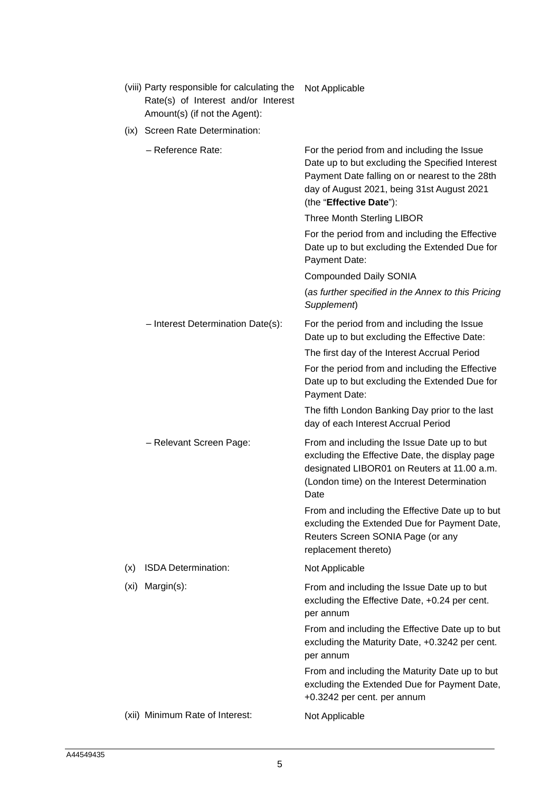|      | (viii) Party responsible for calculating the<br>Rate(s) of Interest and/or Interest<br>Amount(s) (if not the Agent): | Not Applicable                                                                                                                                                                                                            |
|------|----------------------------------------------------------------------------------------------------------------------|---------------------------------------------------------------------------------------------------------------------------------------------------------------------------------------------------------------------------|
|      | (ix) Screen Rate Determination:                                                                                      |                                                                                                                                                                                                                           |
|      | - Reference Rate:                                                                                                    | For the period from and including the Issue<br>Date up to but excluding the Specified Interest<br>Payment Date falling on or nearest to the 28th<br>day of August 2021, being 31st August 2021<br>(the "Effective Date"): |
|      |                                                                                                                      | Three Month Sterling LIBOR                                                                                                                                                                                                |
|      |                                                                                                                      | For the period from and including the Effective<br>Date up to but excluding the Extended Due for<br>Payment Date:                                                                                                         |
|      |                                                                                                                      | <b>Compounded Daily SONIA</b>                                                                                                                                                                                             |
|      |                                                                                                                      | (as further specified in the Annex to this Pricing<br>Supplement)                                                                                                                                                         |
|      | - Interest Determination Date(s):                                                                                    | For the period from and including the Issue<br>Date up to but excluding the Effective Date:                                                                                                                               |
|      |                                                                                                                      | The first day of the Interest Accrual Period                                                                                                                                                                              |
|      |                                                                                                                      | For the period from and including the Effective<br>Date up to but excluding the Extended Due for<br>Payment Date:                                                                                                         |
|      |                                                                                                                      | The fifth London Banking Day prior to the last<br>day of each Interest Accrual Period                                                                                                                                     |
|      | - Relevant Screen Page:                                                                                              | From and including the Issue Date up to but<br>excluding the Effective Date, the display page<br>designated LIBOR01 on Reuters at 11.00 a.m.<br>(London time) on the Interest Determination<br>Date                       |
|      |                                                                                                                      | From and including the Effective Date up to but<br>excluding the Extended Due for Payment Date,<br>Reuters Screen SONIA Page (or any<br>replacement thereto)                                                              |
| (x)  | <b>ISDA Determination:</b>                                                                                           | Not Applicable                                                                                                                                                                                                            |
| (xi) | Margin(s):                                                                                                           | From and including the Issue Date up to but<br>excluding the Effective Date, +0.24 per cent.<br>per annum<br>From and including the Effective Date up to but                                                              |
|      |                                                                                                                      | excluding the Maturity Date, +0.3242 per cent.<br>per annum                                                                                                                                                               |
|      |                                                                                                                      | From and including the Maturity Date up to but<br>excluding the Extended Due for Payment Date,<br>+0.3242 per cent. per annum                                                                                             |
|      | (xii) Minimum Rate of Interest:                                                                                      | Not Applicable                                                                                                                                                                                                            |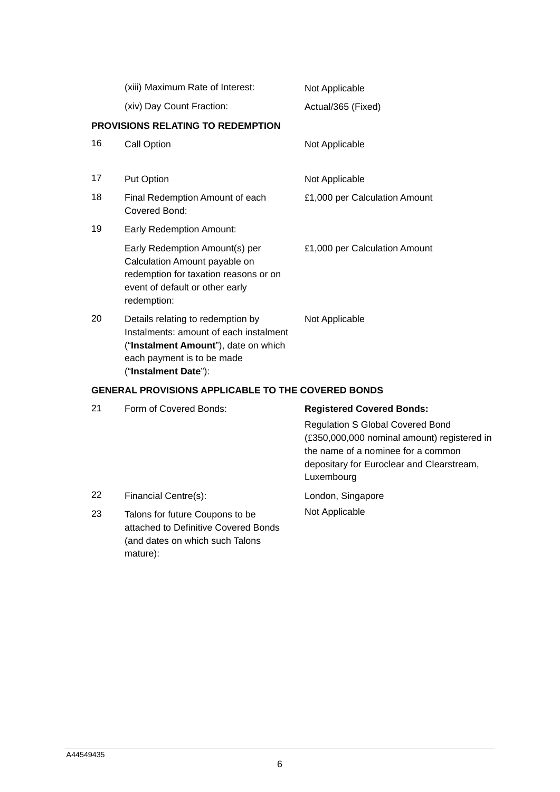|                                                           | (xiii) Maximum Rate of Interest:                                                                                                                                          | Not Applicable                   |  |
|-----------------------------------------------------------|---------------------------------------------------------------------------------------------------------------------------------------------------------------------------|----------------------------------|--|
|                                                           | (xiv) Day Count Fraction:                                                                                                                                                 | Actual/365 (Fixed)               |  |
|                                                           | <b>PROVISIONS RELATING TO REDEMPTION</b>                                                                                                                                  |                                  |  |
| 16                                                        | Call Option                                                                                                                                                               | Not Applicable                   |  |
| 17                                                        | Put Option                                                                                                                                                                | Not Applicable                   |  |
| 18                                                        | Final Redemption Amount of each<br>Covered Bond:                                                                                                                          | £1,000 per Calculation Amount    |  |
| 19                                                        | <b>Early Redemption Amount:</b>                                                                                                                                           |                                  |  |
|                                                           | Early Redemption Amount(s) per<br>Calculation Amount payable on<br>redemption for taxation reasons or on<br>event of default or other early<br>redemption:                | £1,000 per Calculation Amount    |  |
| 20                                                        | Details relating to redemption by<br>Instalments: amount of each instalment<br>("Instalment Amount"), date on which<br>each payment is to be made<br>("Instalment Date"): | Not Applicable                   |  |
| <b>GENERAL PROVISIONS APPLICABLE TO THE COVERED BONDS</b> |                                                                                                                                                                           |                                  |  |
| 21                                                        | Form of Covered Bonds:                                                                                                                                                    | <b>Registered Covered Bonds:</b> |  |

Regulation S Global Covered Bond (£350,000,000 nominal amount) registered in the name of a nominee for a common depositary for Euroclear and Clearstream, Luxembourg

22 Financial Centre(s): London, Singapore 23 Talons for future Coupons to be attached to Definitive Covered Bonds (and dates on which such Talons mature):

Not Applicable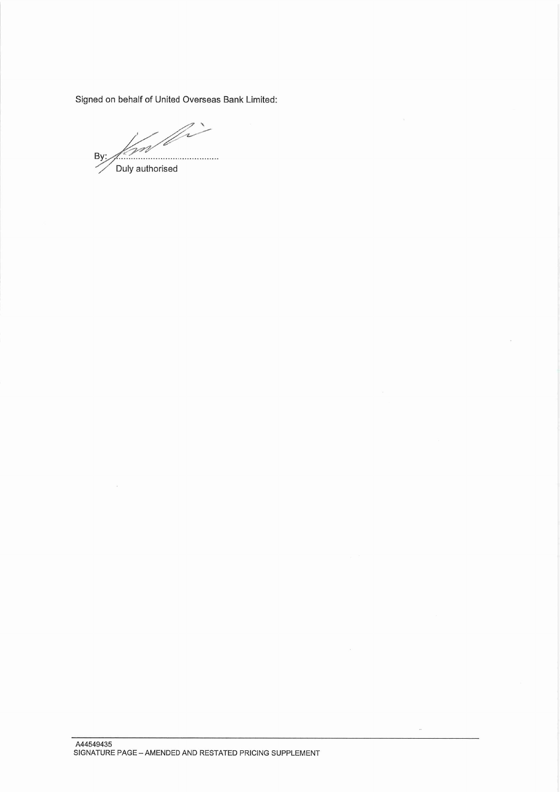Signed on behalf of United Overseas Bank Limited:

 $\bar{\tau}$ 

 $\bar{\nu}$ 

 $\mathbb{Z}$  $\overline{\phantom{a}}$ m By  $\int_{0}^{x}$ Duly authorised

-<br>A44549435<br>SIGNATURE PAGE – AMENDED AND RESTATED PRICING SUPPLEMENT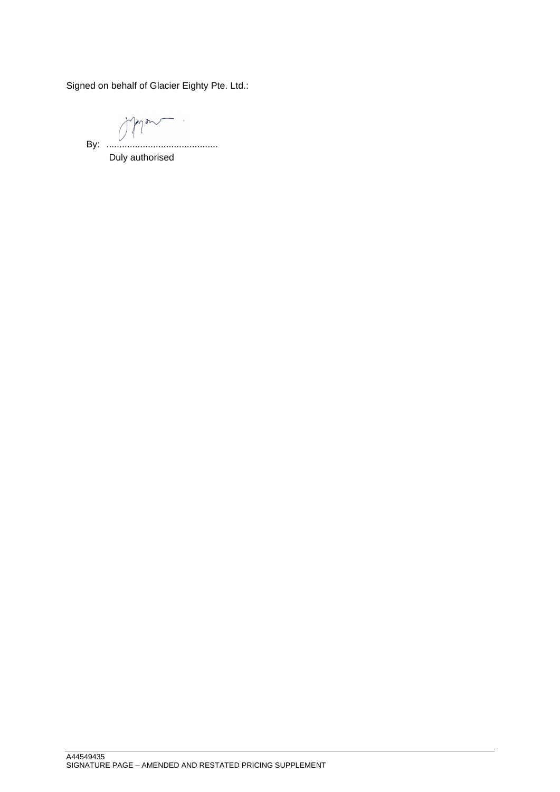Signed on behalf of Glacier Eighty Pte. Ltd.:

mon  $\left\lceil \left\langle \cdot \right\rceil \right\rceil$ By: ...........................................

Duly authorised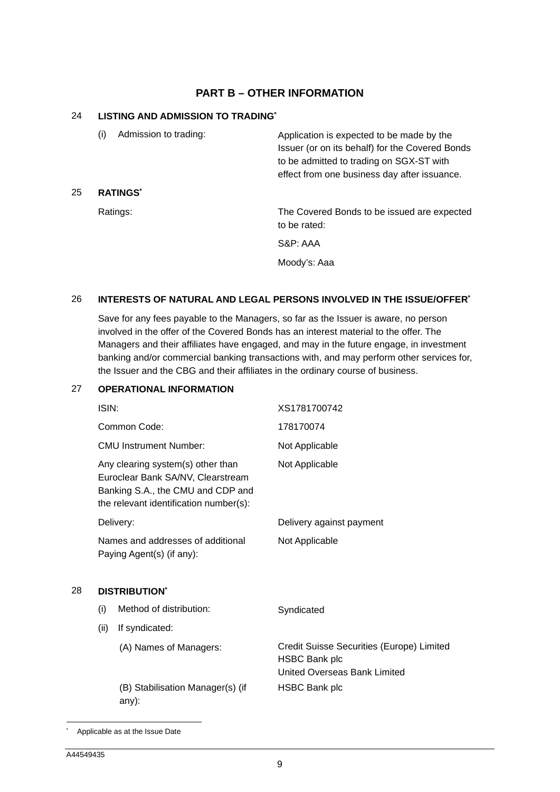### **PART B – OTHER INFORMATION**

#### 24 **LISTING AND ADMISSION TO TRADING\***

25 **RATINGS\***

| Admission to trading:<br>(i) | Application is expected to be made by the<br>Issuer (or on its behalf) for the Covered Bonds<br>to be admitted to trading on SGX-ST with<br>effect from one business day after issuance. |
|------------------------------|------------------------------------------------------------------------------------------------------------------------------------------------------------------------------------------|
| <b>RATINGS*</b>              |                                                                                                                                                                                          |
| Ratings:                     | The Covered Bonds to be issued are expected<br>to be rated:                                                                                                                              |
|                              | S&P: AAA                                                                                                                                                                                 |
|                              | Moody's: Aaa                                                                                                                                                                             |

### 26 **INTERESTS OF NATURAL AND LEGAL PERSONS INVOLVED IN THE ISSUE/OFFER\***

Save for any fees payable to the Managers, so far as the Issuer is aware, no person involved in the offer of the Covered Bonds has an interest material to the offer. The Managers and their affiliates have engaged, and may in the future engage, in investment banking and/or commercial banking transactions with, and may perform other services for, the Issuer and the CBG and their affiliates in the ordinary course of business.

#### 27 **OPERATIONAL INFORMATION**

| ISIN:                                                                                                                                                 | XS1781700742                                                                                             |  |  |  |
|-------------------------------------------------------------------------------------------------------------------------------------------------------|----------------------------------------------------------------------------------------------------------|--|--|--|
| Common Code:                                                                                                                                          | 178170074                                                                                                |  |  |  |
| <b>CMU Instrument Number:</b>                                                                                                                         | Not Applicable                                                                                           |  |  |  |
| Any clearing system(s) other than<br>Euroclear Bank SA/NV, Clearstream<br>Banking S.A., the CMU and CDP and<br>the relevant identification number(s): | Not Applicable                                                                                           |  |  |  |
| Delivery:                                                                                                                                             | Delivery against payment                                                                                 |  |  |  |
| Names and addresses of additional<br>Paying Agent(s) (if any):                                                                                        | Not Applicable                                                                                           |  |  |  |
| <b>DISTRIBUTION</b>                                                                                                                                   |                                                                                                          |  |  |  |
| Method of distribution:<br>(i)                                                                                                                        | Syndicated                                                                                               |  |  |  |
| (ii)<br>If syndicated:                                                                                                                                |                                                                                                          |  |  |  |
| (A) Names of Managers:                                                                                                                                | Credit Suisse Securities (Europe) Limited<br><b>HSBC Bank plc</b><br><b>United Overseas Bank Limited</b> |  |  |  |
| (B) Stabilisation Manager(s) (if<br>$any)$ :                                                                                                          | <b>HSBC Bank plc</b>                                                                                     |  |  |  |

\*

28 **DISTRIBUTION\***

Applicable as at the Issue Date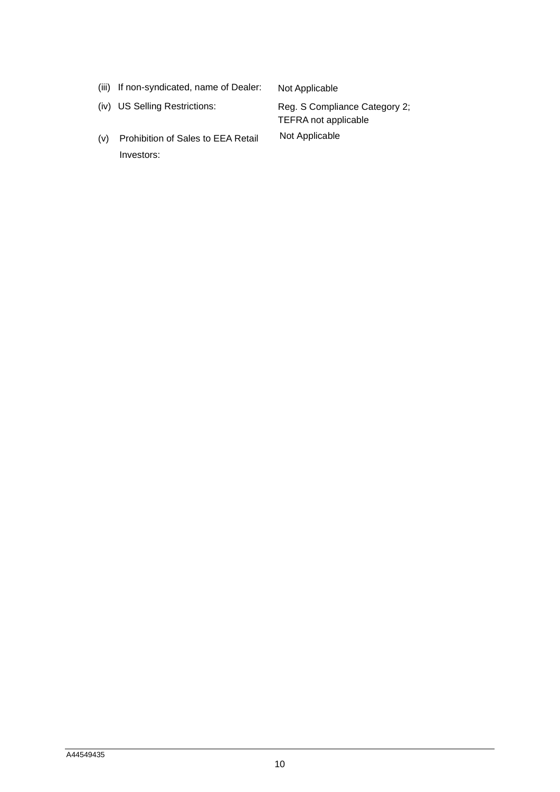| (iii) | If non-syndicated, name of Dealer:               | Not Applicable                                               |
|-------|--------------------------------------------------|--------------------------------------------------------------|
|       | (iv) US Selling Restrictions:                    | Reg. S Compliance Category 2;<br><b>TEFRA not applicable</b> |
| (v)   | Prohibition of Sales to EEA Retail<br>Investors: | Not Applicable                                               |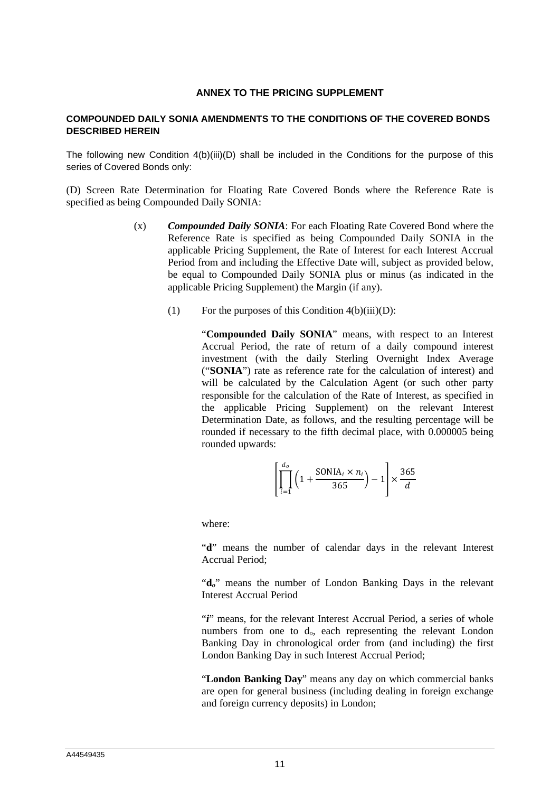#### **ANNEX TO THE PRICING SUPPLEMENT**

### **COMPOUNDED DAILY SONIA AMENDMENTS TO THE CONDITIONS OF THE COVERED BONDS DESCRIBED HEREIN**

The following new Condition 4(b)(iii)(D) shall be included in the Conditions for the purpose of this series of Covered Bonds only:

(D) Screen Rate Determination for Floating Rate Covered Bonds where the Reference Rate is specified as being Compounded Daily SONIA:

- (x) *Compounded Daily SONIA*: For each Floating Rate Covered Bond where the Reference Rate is specified as being Compounded Daily SONIA in the applicable Pricing Supplement, the Rate of Interest for each Interest Accrual Period from and including the Effective Date will, subject as provided below, be equal to Compounded Daily SONIA plus or minus (as indicated in the applicable Pricing Supplement) the Margin (if any).
	- (1) For the purposes of this Condition  $4(b)(iii)(D)$ :

"**Compounded Daily SONIA**" means, with respect to an Interest Accrual Period, the rate of return of a daily compound interest investment (with the daily Sterling Overnight Index Average ("**SONIA**") rate as reference rate for the calculation of interest) and will be calculated by the Calculation Agent (or such other party responsible for the calculation of the Rate of Interest, as specified in the applicable Pricing Supplement) on the relevant Interest Determination Date, as follows, and the resulting percentage will be rounded if necessary to the fifth decimal place, with 0.000005 being rounded upwards:

$$
\left[\prod_{i=1}^{d_o} \left(1 + \frac{\text{SONIA}_i \times n_i}{365}\right) - 1\right] \times \frac{365}{d}
$$

where:

"**d**" means the number of calendar days in the relevant Interest Accrual Period;

"**d***o*" means the number of London Banking Days in the relevant Interest Accrual Period

"*i*" means, for the relevant Interest Accrual Period, a series of whole numbers from one to d*o*, each representing the relevant London Banking Day in chronological order from (and including) the first London Banking Day in such Interest Accrual Period;

"**London Banking Day**" means any day on which commercial banks are open for general business (including dealing in foreign exchange and foreign currency deposits) in London;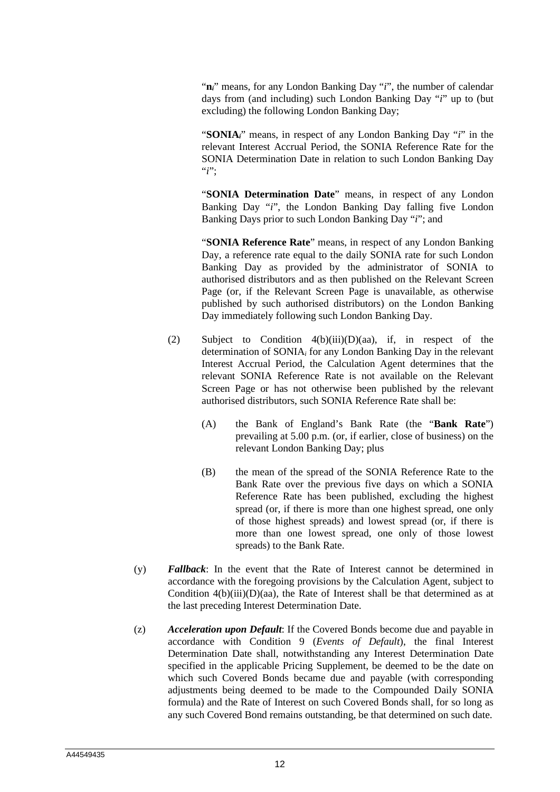"**n***i*" means, for any London Banking Day "*i*", the number of calendar days from (and including) such London Banking Day "*i*" up to (but excluding) the following London Banking Day;

"**SONIA***i*" means, in respect of any London Banking Day "*i*" in the relevant Interest Accrual Period, the SONIA Reference Rate for the SONIA Determination Date in relation to such London Banking Day "*i*";

"**SONIA Determination Date**" means, in respect of any London Banking Day "*i*", the London Banking Day falling five London Banking Days prior to such London Banking Day "*i*"; and

"**SONIA Reference Rate**" means, in respect of any London Banking Day, a reference rate equal to the daily SONIA rate for such London Banking Day as provided by the administrator of SONIA to authorised distributors and as then published on the Relevant Screen Page (or, if the Relevant Screen Page is unavailable, as otherwise published by such authorised distributors) on the London Banking Day immediately following such London Banking Day.

- (2) Subject to Condition 4(b)(iii)(D)(aa), if, in respect of the determination of SONIA*i* for any London Banking Day in the relevant Interest Accrual Period, the Calculation Agent determines that the relevant SONIA Reference Rate is not available on the Relevant Screen Page or has not otherwise been published by the relevant authorised distributors, such SONIA Reference Rate shall be:
	- (A) the Bank of England's Bank Rate (the "**Bank Rate**") prevailing at 5.00 p.m. (or, if earlier, close of business) on the relevant London Banking Day; plus
	- (B) the mean of the spread of the SONIA Reference Rate to the Bank Rate over the previous five days on which a SONIA Reference Rate has been published, excluding the highest spread (or, if there is more than one highest spread, one only of those highest spreads) and lowest spread (or, if there is more than one lowest spread, one only of those lowest spreads) to the Bank Rate.
- (y) *Fallback*: In the event that the Rate of Interest cannot be determined in accordance with the foregoing provisions by the Calculation Agent, subject to Condition 4(b)(iii)(D)(aa), the Rate of Interest shall be that determined as at the last preceding Interest Determination Date.
- (z) *Acceleration upon Default*: If the Covered Bonds become due and payable in accordance with Condition 9 (*Events of Default*), the final Interest Determination Date shall, notwithstanding any Interest Determination Date specified in the applicable Pricing Supplement, be deemed to be the date on which such Covered Bonds became due and payable (with corresponding adjustments being deemed to be made to the Compounded Daily SONIA formula) and the Rate of Interest on such Covered Bonds shall, for so long as any such Covered Bond remains outstanding, be that determined on such date.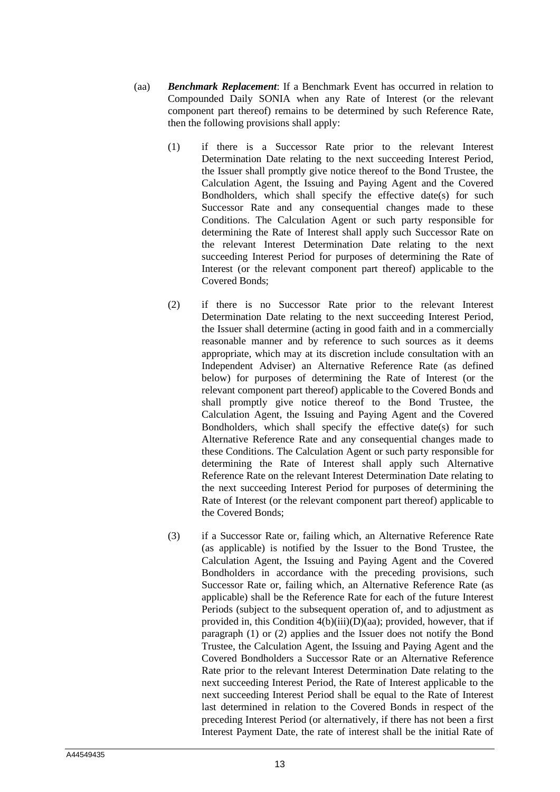- (aa) *Benchmark Replacement*: If a Benchmark Event has occurred in relation to Compounded Daily SONIA when any Rate of Interest (or the relevant component part thereof) remains to be determined by such Reference Rate, then the following provisions shall apply:
	- (1) if there is a Successor Rate prior to the relevant Interest Determination Date relating to the next succeeding Interest Period, the Issuer shall promptly give notice thereof to the Bond Trustee, the Calculation Agent, the Issuing and Paying Agent and the Covered Bondholders, which shall specify the effective date(s) for such Successor Rate and any consequential changes made to these Conditions. The Calculation Agent or such party responsible for determining the Rate of Interest shall apply such Successor Rate on the relevant Interest Determination Date relating to the next succeeding Interest Period for purposes of determining the Rate of Interest (or the relevant component part thereof) applicable to the Covered Bonds;
	- (2) if there is no Successor Rate prior to the relevant Interest Determination Date relating to the next succeeding Interest Period, the Issuer shall determine (acting in good faith and in a commercially reasonable manner and by reference to such sources as it deems appropriate, which may at its discretion include consultation with an Independent Adviser) an Alternative Reference Rate (as defined below) for purposes of determining the Rate of Interest (or the relevant component part thereof) applicable to the Covered Bonds and shall promptly give notice thereof to the Bond Trustee, the Calculation Agent, the Issuing and Paying Agent and the Covered Bondholders, which shall specify the effective date(s) for such Alternative Reference Rate and any consequential changes made to these Conditions. The Calculation Agent or such party responsible for determining the Rate of Interest shall apply such Alternative Reference Rate on the relevant Interest Determination Date relating to the next succeeding Interest Period for purposes of determining the Rate of Interest (or the relevant component part thereof) applicable to the Covered Bonds;
	- (3) if a Successor Rate or, failing which, an Alternative Reference Rate (as applicable) is notified by the Issuer to the Bond Trustee, the Calculation Agent, the Issuing and Paying Agent and the Covered Bondholders in accordance with the preceding provisions, such Successor Rate or, failing which, an Alternative Reference Rate (as applicable) shall be the Reference Rate for each of the future Interest Periods (subject to the subsequent operation of, and to adjustment as provided in, this Condition 4(b)(iii)(D)(aa); provided, however, that if paragraph (1) or (2) applies and the Issuer does not notify the Bond Trustee, the Calculation Agent, the Issuing and Paying Agent and the Covered Bondholders a Successor Rate or an Alternative Reference Rate prior to the relevant Interest Determination Date relating to the next succeeding Interest Period, the Rate of Interest applicable to the next succeeding Interest Period shall be equal to the Rate of Interest last determined in relation to the Covered Bonds in respect of the preceding Interest Period (or alternatively, if there has not been a first Interest Payment Date, the rate of interest shall be the initial Rate of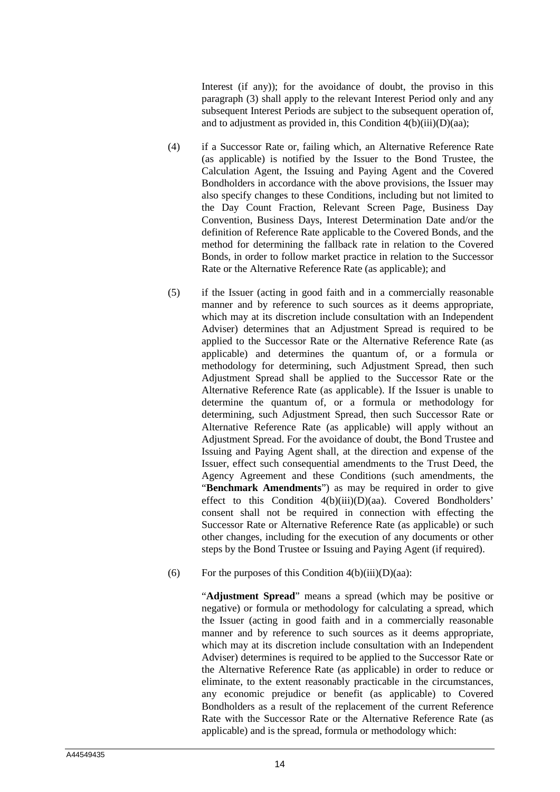Interest (if any)); for the avoidance of doubt, the proviso in this paragraph (3) shall apply to the relevant Interest Period only and any subsequent Interest Periods are subject to the subsequent operation of. and to adjustment as provided in, this Condition  $4(b)(iii)(D)(aa)$ ;

- (4) if a Successor Rate or, failing which, an Alternative Reference Rate (as applicable) is notified by the Issuer to the Bond Trustee, the Calculation Agent, the Issuing and Paying Agent and the Covered Bondholders in accordance with the above provisions, the Issuer may also specify changes to these Conditions, including but not limited to the Day Count Fraction, Relevant Screen Page, Business Day Convention, Business Days, Interest Determination Date and/or the definition of Reference Rate applicable to the Covered Bonds, and the method for determining the fallback rate in relation to the Covered Bonds, in order to follow market practice in relation to the Successor Rate or the Alternative Reference Rate (as applicable); and
- (5) if the Issuer (acting in good faith and in a commercially reasonable manner and by reference to such sources as it deems appropriate, which may at its discretion include consultation with an Independent Adviser) determines that an Adjustment Spread is required to be applied to the Successor Rate or the Alternative Reference Rate (as applicable) and determines the quantum of, or a formula or methodology for determining, such Adjustment Spread, then such Adjustment Spread shall be applied to the Successor Rate or the Alternative Reference Rate (as applicable). If the Issuer is unable to determine the quantum of, or a formula or methodology for determining, such Adjustment Spread, then such Successor Rate or Alternative Reference Rate (as applicable) will apply without an Adjustment Spread. For the avoidance of doubt, the Bond Trustee and Issuing and Paying Agent shall, at the direction and expense of the Issuer, effect such consequential amendments to the Trust Deed, the Agency Agreement and these Conditions (such amendments, the "**Benchmark Amendments**") as may be required in order to give effect to this Condition 4(b)(iii)(D)(aa). Covered Bondholders' consent shall not be required in connection with effecting the Successor Rate or Alternative Reference Rate (as applicable) or such other changes, including for the execution of any documents or other steps by the Bond Trustee or Issuing and Paying Agent (if required).
- (6) For the purposes of this Condition  $4(b)(iii)(D)(aa)$ :

"**Adjustment Spread**" means a spread (which may be positive or negative) or formula or methodology for calculating a spread, which the Issuer (acting in good faith and in a commercially reasonable manner and by reference to such sources as it deems appropriate, which may at its discretion include consultation with an Independent Adviser) determines is required to be applied to the Successor Rate or the Alternative Reference Rate (as applicable) in order to reduce or eliminate, to the extent reasonably practicable in the circumstances, any economic prejudice or benefit (as applicable) to Covered Bondholders as a result of the replacement of the current Reference Rate with the Successor Rate or the Alternative Reference Rate (as applicable) and is the spread, formula or methodology which: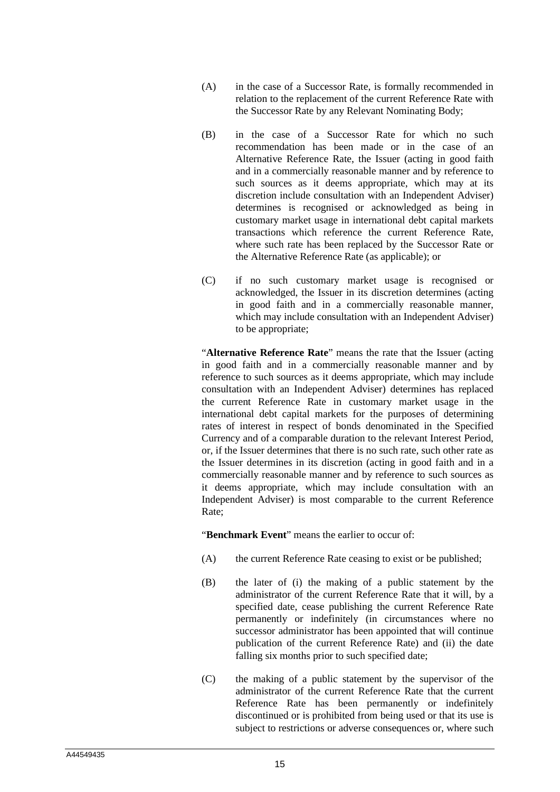- (A) in the case of a Successor Rate, is formally recommended in relation to the replacement of the current Reference Rate with the Successor Rate by any Relevant Nominating Body;
- (B) in the case of a Successor Rate for which no such recommendation has been made or in the case of an Alternative Reference Rate, the Issuer (acting in good faith and in a commercially reasonable manner and by reference to such sources as it deems appropriate, which may at its discretion include consultation with an Independent Adviser) determines is recognised or acknowledged as being in customary market usage in international debt capital markets transactions which reference the current Reference Rate, where such rate has been replaced by the Successor Rate or the Alternative Reference Rate (as applicable); or
- (C) if no such customary market usage is recognised or acknowledged, the Issuer in its discretion determines (acting in good faith and in a commercially reasonable manner, which may include consultation with an Independent Adviser) to be appropriate;

"**Alternative Reference Rate**" means the rate that the Issuer (acting in good faith and in a commercially reasonable manner and by reference to such sources as it deems appropriate, which may include consultation with an Independent Adviser) determines has replaced the current Reference Rate in customary market usage in the international debt capital markets for the purposes of determining rates of interest in respect of bonds denominated in the Specified Currency and of a comparable duration to the relevant Interest Period, or, if the Issuer determines that there is no such rate, such other rate as the Issuer determines in its discretion (acting in good faith and in a commercially reasonable manner and by reference to such sources as it deems appropriate, which may include consultation with an Independent Adviser) is most comparable to the current Reference Rate;

"**Benchmark Event**" means the earlier to occur of:

- (A) the current Reference Rate ceasing to exist or be published;
- (B) the later of (i) the making of a public statement by the administrator of the current Reference Rate that it will, by a specified date, cease publishing the current Reference Rate permanently or indefinitely (in circumstances where no successor administrator has been appointed that will continue publication of the current Reference Rate) and (ii) the date falling six months prior to such specified date;
- (C) the making of a public statement by the supervisor of the administrator of the current Reference Rate that the current Reference Rate has been permanently or indefinitely discontinued or is prohibited from being used or that its use is subject to restrictions or adverse consequences or, where such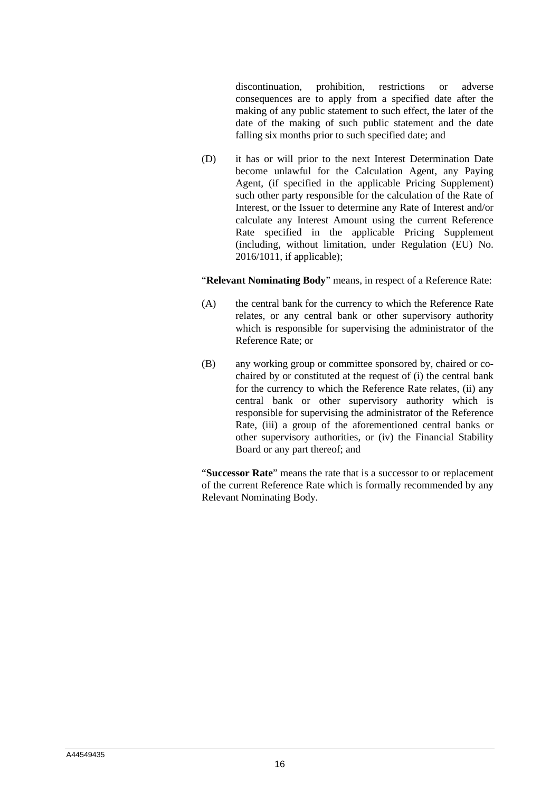discontinuation, prohibition, restrictions or adverse consequences are to apply from a specified date after the making of any public statement to such effect, the later of the date of the making of such public statement and the date falling six months prior to such specified date; and

(D) it has or will prior to the next Interest Determination Date become unlawful for the Calculation Agent, any Paying Agent, (if specified in the applicable Pricing Supplement) such other party responsible for the calculation of the Rate of Interest, or the Issuer to determine any Rate of Interest and/or calculate any Interest Amount using the current Reference Rate specified in the applicable Pricing Supplement (including, without limitation, under Regulation (EU) No. 2016/1011, if applicable);

### "**Relevant Nominating Body**" means, in respect of a Reference Rate:

- (A) the central bank for the currency to which the Reference Rate relates, or any central bank or other supervisory authority which is responsible for supervising the administrator of the Reference Rate; or
- (B) any working group or committee sponsored by, chaired or cochaired by or constituted at the request of (i) the central bank for the currency to which the Reference Rate relates, (ii) any central bank or other supervisory authority which is responsible for supervising the administrator of the Reference Rate, (iii) a group of the aforementioned central banks or other supervisory authorities, or (iv) the Financial Stability Board or any part thereof; and

"**Successor Rate**" means the rate that is a successor to or replacement of the current Reference Rate which is formally recommended by any Relevant Nominating Body.